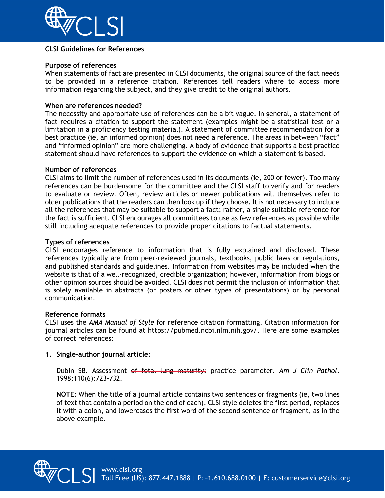

## **CLSI Guidelines for References**

# **Purpose of references**

When statements of fact are presented in CLSI documents, the original source of the fact needs to be provided in a reference citation. References tell readers where to access more information regarding the subject, and they give credit to the original authors.

### **When are references needed?**

The necessity and appropriate use of references can be a bit vague. In general, a statement of fact requires a citation to support the statement (examples might be a statistical test or a limitation in a proficiency testing material). A statement of committee recommendation for a best practice (ie, an informed opinion) does not need a reference. The areas in between "fact" and "informed opinion" are more challenging. A body of evidence that supports a best practice statement should have references to support the evidence on which a statement is based.

### **Number of references**

CLSI aims to limit the number of references used in its documents (ie, 200 or fewer). Too many references can be burdensome for the committee and the CLSI staff to verify and for readers to evaluate or review. Often, review articles or newer publications will themselves refer to older publications that the readers can then look up if they choose. It is not necessary to include all the references that may be suitable to support a fact; rather, a single suitable reference for the fact is sufficient. CLSI encourages all committees to use as few references as possible while still including adequate references to provide proper citations to factual statements.

### **Types of references**

CLSI encourages reference to information that is fully explained and disclosed. These references typically are from peer-reviewed journals, textbooks, public laws or regulations, and published standards and guidelines. Information from websites may be included when the website is that of a well-recognized, credible organization; however, information from blogs or other opinion sources should be avoided. CLSI does not permit the inclusion of information that is solely available in abstracts (or posters or other types of presentations) or by personal communication.

#### **Reference formats**

CLSI uses the *AMA Manual of Style* for reference citation formatting. Citation information for journal articles can be found at https://pubmed.ncbi.nlm.nih.gov/. Here are some examples of correct references:

# **1. Single-author journal article:**

Dubin SB. Assessment of fetal lung maturity: practice parameter. *Am J Clin Pathol*. 1998;110(6):723-732.

**NOTE:** When the title of a journal article contains two sentences or fragments (ie, two lines of text that contain a period on the end of each), CLSI style deletes the first period, replaces it with a colon, and lowercases the first word of the second sentence or fragment, as in the above example.